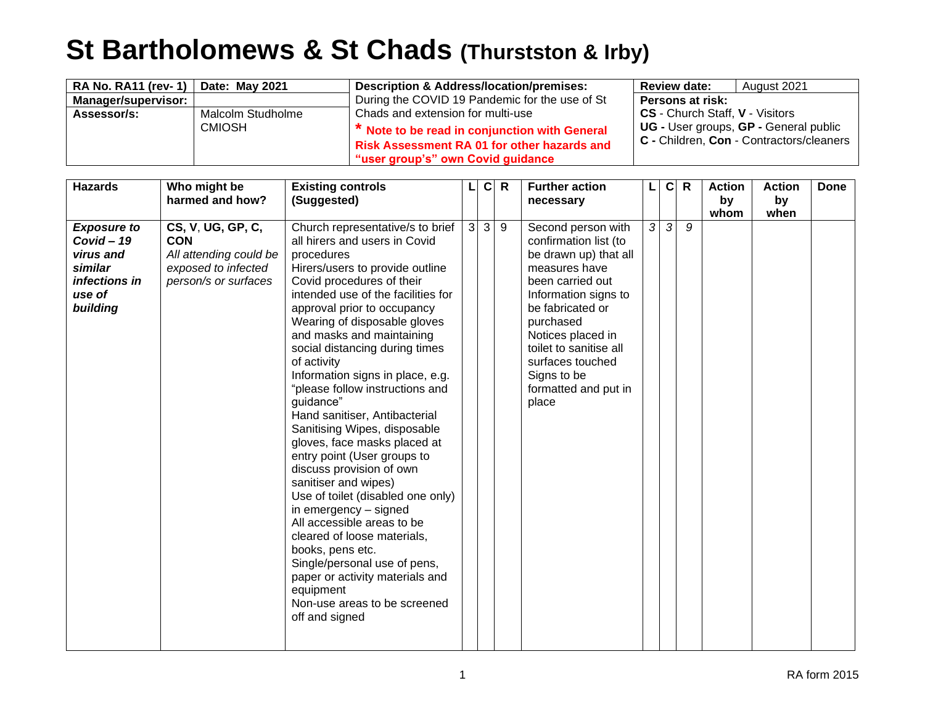## **St Bartholomews & St Chads (Thurstston & Irby)**

| <b>RA No. RA11 (rev-1)</b> | Date: May 2021                                     | <b>Description &amp; Address/location/premises:</b> | <b>Review date:</b>             | August 2021                              |
|----------------------------|----------------------------------------------------|-----------------------------------------------------|---------------------------------|------------------------------------------|
| <b>Manager/supervisor:</b> |                                                    | During the COVID 19 Pandemic for the use of St      | Persons at risk:                |                                          |
| Assessor/s:                | Malcolm Studholme                                  | Chads and extension for multi-use                   | CS - Church Staff, V - Visitors |                                          |
|                            | <b>CMIOSH</b>                                      | * Note to be read in conjunction with General       |                                 | UG - User groups, GP - General public    |
|                            | <b>Risk Assessment RA 01 for other hazards and</b> |                                                     |                                 | C - Children, Con - Contractors/cleaners |
|                            |                                                    | "user group's" own Covid guidance                   |                                 |                                          |

| <b>Hazards</b>                                                                                    | Who might be<br>harmed and how?                                                                          | <b>Existing controls</b><br>(Suggested)                                                                                                                                                                                                                                                                                                                                                                                                                                                                                                                                                                                                                                                                                                                                                                                                                                                     |              | $\mathbf c$  | $\mathsf{R}$ | <b>Further action</b><br>necessary                                                                                                                                                                                                                                                    |   | $\mathbf{C}$ | $\mathsf{R}$ | <b>Action</b><br>by | <b>Action</b><br>by | Done |
|---------------------------------------------------------------------------------------------------|----------------------------------------------------------------------------------------------------------|---------------------------------------------------------------------------------------------------------------------------------------------------------------------------------------------------------------------------------------------------------------------------------------------------------------------------------------------------------------------------------------------------------------------------------------------------------------------------------------------------------------------------------------------------------------------------------------------------------------------------------------------------------------------------------------------------------------------------------------------------------------------------------------------------------------------------------------------------------------------------------------------|--------------|--------------|--------------|---------------------------------------------------------------------------------------------------------------------------------------------------------------------------------------------------------------------------------------------------------------------------------------|---|--------------|--------------|---------------------|---------------------|------|
| <b>Exposure to</b><br>$Covid - 19$<br>virus and<br>similar<br>infections in<br>use of<br>building | CS, V, UG, GP, C,<br><b>CON</b><br>All attending could be<br>exposed to infected<br>person/s or surfaces | Church representative/s to brief<br>all hirers and users in Covid<br>procedures<br>Hirers/users to provide outline<br>Covid procedures of their<br>intended use of the facilities for<br>approval prior to occupancy<br>Wearing of disposable gloves<br>and masks and maintaining<br>social distancing during times<br>of activity<br>Information signs in place, e.g.<br>"please follow instructions and<br>guidance"<br>Hand sanitiser, Antibacterial<br>Sanitising Wipes, disposable<br>gloves, face masks placed at<br>entry point (User groups to<br>discuss provision of own<br>sanitiser and wipes)<br>Use of toilet (disabled one only)<br>in emergency - signed<br>All accessible areas to be<br>cleared of loose materials,<br>books, pens etc.<br>Single/personal use of pens,<br>paper or activity materials and<br>equipment<br>Non-use areas to be screened<br>off and signed | $\mathbf{3}$ | $\mathbf{3}$ | 9            | Second person with<br>confirmation list (to<br>be drawn up) that all<br>measures have<br>been carried out<br>Information signs to<br>be fabricated or<br>purchased<br>Notices placed in<br>toilet to sanitise all<br>surfaces touched<br>Signs to be<br>formatted and put in<br>place | 3 | سا           | 9            | whom                | when                |      |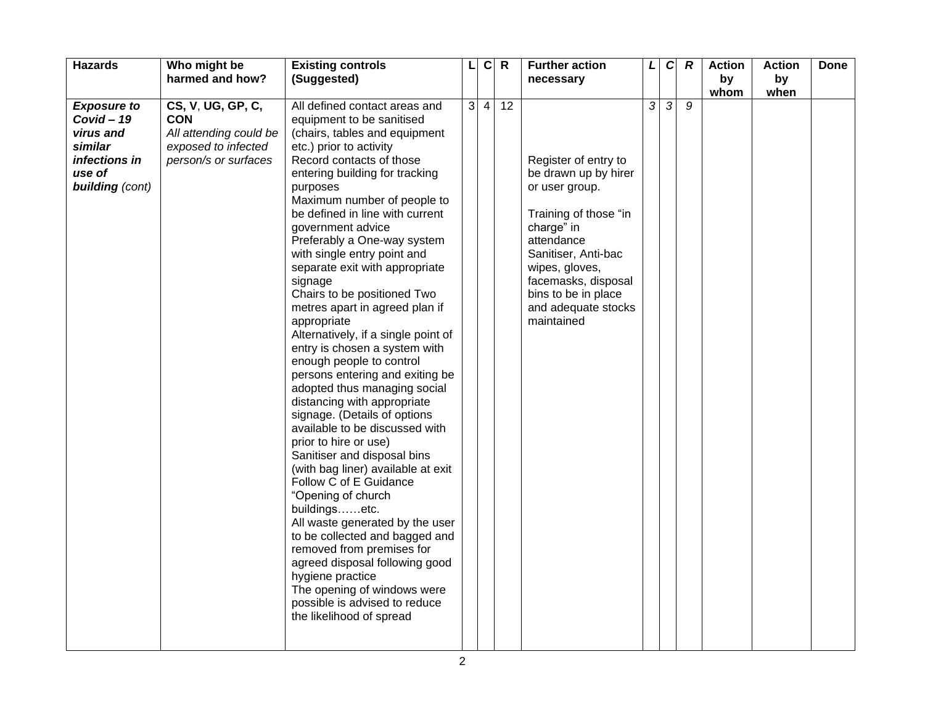| <b>Hazards</b>                                                                                                  | Who might be<br>harmed and how?                                                                          | <b>Existing controls</b><br>(Suggested)                                                                                                                                                                                                                                                                                                                                                                                                                                                                                                                                                                                                                                                                                                                                                                                                                                                                                                                                                                                                                                                                                                                                       | $\mathsf{L}$ | $\mathbf c$    | $\mathsf{R}$ | <b>Further action</b><br>necessary                                                                                                                                                                                                              | L | $\mathbf C$   | $\boldsymbol{R}$ | <b>Action</b><br>by | <b>Action</b><br>by | <b>Done</b> |
|-----------------------------------------------------------------------------------------------------------------|----------------------------------------------------------------------------------------------------------|-------------------------------------------------------------------------------------------------------------------------------------------------------------------------------------------------------------------------------------------------------------------------------------------------------------------------------------------------------------------------------------------------------------------------------------------------------------------------------------------------------------------------------------------------------------------------------------------------------------------------------------------------------------------------------------------------------------------------------------------------------------------------------------------------------------------------------------------------------------------------------------------------------------------------------------------------------------------------------------------------------------------------------------------------------------------------------------------------------------------------------------------------------------------------------|--------------|----------------|--------------|-------------------------------------------------------------------------------------------------------------------------------------------------------------------------------------------------------------------------------------------------|---|---------------|------------------|---------------------|---------------------|-------------|
|                                                                                                                 |                                                                                                          |                                                                                                                                                                                                                                                                                                                                                                                                                                                                                                                                                                                                                                                                                                                                                                                                                                                                                                                                                                                                                                                                                                                                                                               |              |                |              |                                                                                                                                                                                                                                                 |   |               |                  | whom                | when                |             |
| <b>Exposure to</b><br>$Covid - 19$<br>virus and<br>similar<br>infections in<br>use of<br><b>building</b> (cont) | CS, V, UG, GP, C,<br><b>CON</b><br>All attending could be<br>exposed to infected<br>person/s or surfaces | All defined contact areas and<br>equipment to be sanitised<br>(chairs, tables and equipment<br>etc.) prior to activity<br>Record contacts of those<br>entering building for tracking<br>purposes<br>Maximum number of people to<br>be defined in line with current<br>government advice<br>Preferably a One-way system<br>with single entry point and<br>separate exit with appropriate<br>signage<br>Chairs to be positioned Two<br>metres apart in agreed plan if<br>appropriate<br>Alternatively, if a single point of<br>entry is chosen a system with<br>enough people to control<br>persons entering and exiting be<br>adopted thus managing social<br>distancing with appropriate<br>signage. (Details of options<br>available to be discussed with<br>prior to hire or use)<br>Sanitiser and disposal bins<br>(with bag liner) available at exit<br>Follow C of E Guidance<br>"Opening of church<br>buildingsetc.<br>All waste generated by the user<br>to be collected and bagged and<br>removed from premises for<br>agreed disposal following good<br>hygiene practice<br>The opening of windows were<br>possible is advised to reduce<br>the likelihood of spread | 3            | $\overline{4}$ | 12           | Register of entry to<br>be drawn up by hirer<br>or user group.<br>Training of those "in<br>charge" in<br>attendance<br>Sanitiser, Anti-bac<br>wipes, gloves,<br>facemasks, disposal<br>bins to be in place<br>and adequate stocks<br>maintained | 3 | $\mathcal{S}$ | 9                |                     |                     |             |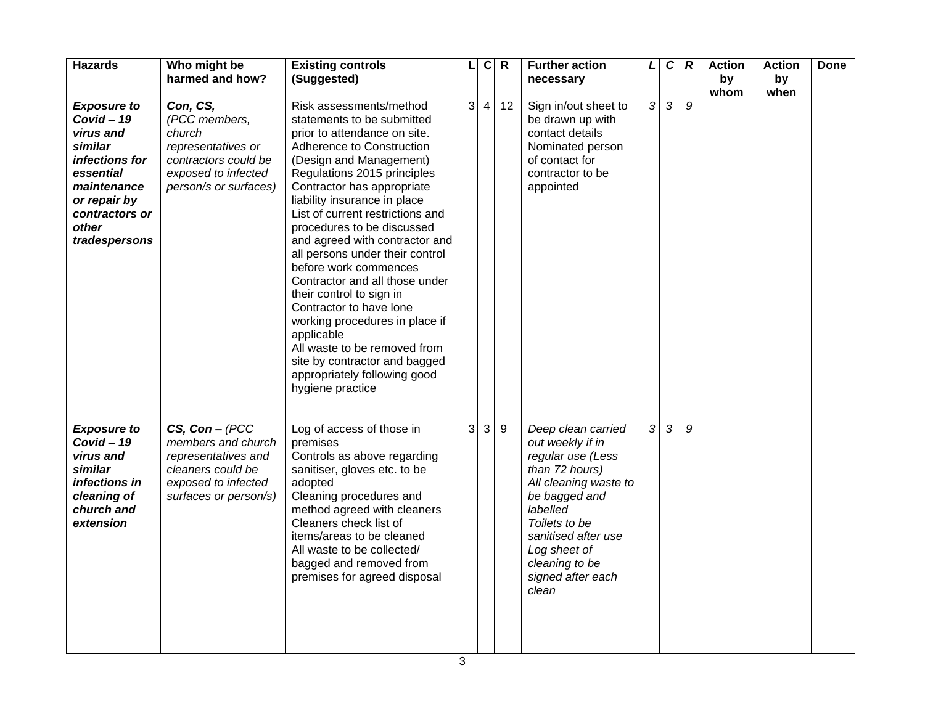| <b>Hazards</b>                                                                                                                                                       | Who might be<br>harmed and how?                                                                                                     | <b>Existing controls</b><br>(Suggested)                                                                                                                                                                                                                                                                                                                                                                                                                                                                                                                                                                                                                                  | Г | $\mathbf{C}$ | $\mathsf{R}$   | <b>Further action</b><br>necessary                                                                                                                                                                                                          | L | $\mathbf{C}$   | $\boldsymbol{R}$ | <b>Action</b><br>by<br>whom | <b>Action</b><br>by<br>when | Done |
|----------------------------------------------------------------------------------------------------------------------------------------------------------------------|-------------------------------------------------------------------------------------------------------------------------------------|--------------------------------------------------------------------------------------------------------------------------------------------------------------------------------------------------------------------------------------------------------------------------------------------------------------------------------------------------------------------------------------------------------------------------------------------------------------------------------------------------------------------------------------------------------------------------------------------------------------------------------------------------------------------------|---|--------------|----------------|---------------------------------------------------------------------------------------------------------------------------------------------------------------------------------------------------------------------------------------------|---|----------------|------------------|-----------------------------|-----------------------------|------|
| <b>Exposure to</b><br>$Covid - 19$<br>virus and<br>similar<br>infections for<br>essential<br>maintenance<br>or repair by<br>contractors or<br>other<br>tradespersons | Con, CS,<br>(PCC members,<br>church<br>representatives or<br>contractors could be<br>exposed to infected<br>person/s or surfaces)   | Risk assessments/method<br>statements to be submitted<br>prior to attendance on site.<br>Adherence to Construction<br>(Design and Management)<br>Regulations 2015 principles<br>Contractor has appropriate<br>liability insurance in place<br>List of current restrictions and<br>procedures to be discussed<br>and agreed with contractor and<br>all persons under their control<br>before work commences<br>Contractor and all those under<br>their control to sign in<br>Contractor to have lone<br>working procedures in place if<br>applicable<br>All waste to be removed from<br>site by contractor and bagged<br>appropriately following good<br>hygiene practice | 3 | 4            | 12             | Sign in/out sheet to<br>be drawn up with<br>contact details<br>Nominated person<br>of contact for<br>contractor to be<br>appointed                                                                                                          | 3 | $\mathfrak{Z}$ | 9                |                             |                             |      |
| <b>Exposure to</b><br>$Covid - 19$<br>virus and<br>similar<br>infections in<br>cleaning of<br>church and<br>extension                                                | $CS, Con - (PCC)$<br>members and church<br>representatives and<br>cleaners could be<br>exposed to infected<br>surfaces or person/s) | Log of access of those in<br>premises<br>Controls as above regarding<br>sanitiser, gloves etc. to be<br>adopted<br>Cleaning procedures and<br>method agreed with cleaners<br>Cleaners check list of<br>items/areas to be cleaned<br>All waste to be collected/<br>bagged and removed from<br>premises for agreed disposal                                                                                                                                                                                                                                                                                                                                                | 3 | 3            | $\overline{9}$ | Deep clean carried<br>out weekly if in<br>regular use (Less<br>than 72 hours)<br>All cleaning waste to<br>be bagged and<br>labelled<br>Toilets to be<br>sanitised after use<br>Log sheet of<br>cleaning to be<br>signed after each<br>clean | 3 | سا             | $\overline{g}$   |                             |                             |      |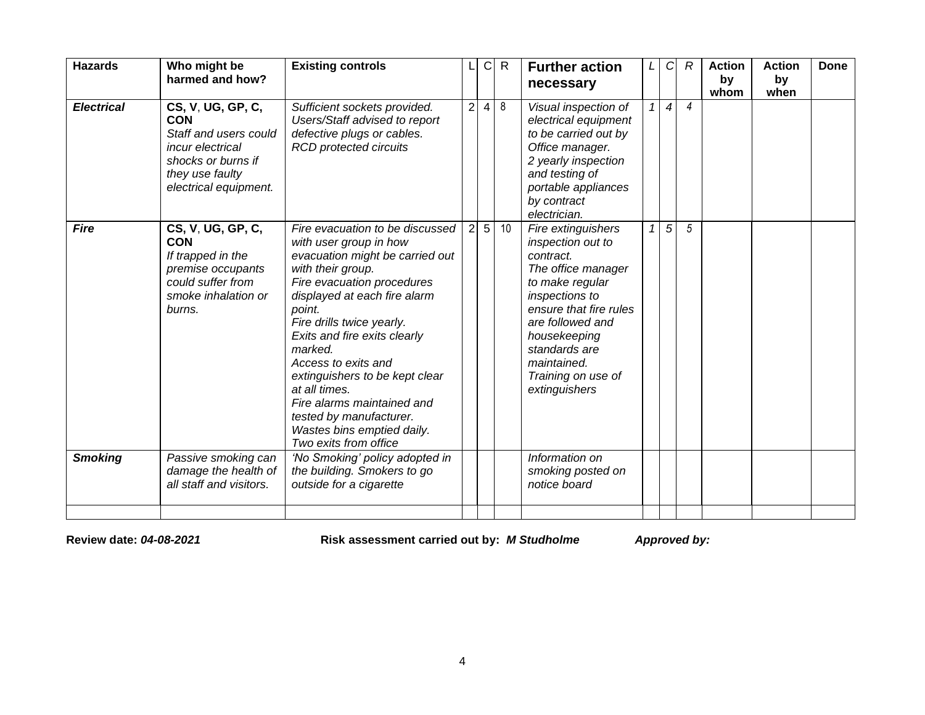| CS, V, UG, GP, C,<br>$\overline{2}$<br>8<br><b>Electrical</b><br>Sufficient sockets provided.<br>$\overline{\mathbf{4}}$<br>Visual inspection of<br>$\overline{4}$<br>$\overline{4}$<br><b>CON</b><br>Users/Staff advised to report<br>electrical equipment<br>Staff and users could<br>defective plugs or cables.<br>to be carried out by<br><b>RCD</b> protected circuits<br>Office manager.<br>incur electrical<br>shocks or burns if<br>2 yearly inspection<br>and testing of<br>they use faulty<br>portable appliances<br>electrical equipment.<br>by contract<br>electrician.<br>5<br>$5\overline{)}$<br>CS, V, UG, GP, C,<br>$\overline{2}$<br>5<br>10<br><b>Fire</b><br>Fire evacuation to be discussed<br>Fire extinguishers<br><b>CON</b><br>with user group in how<br>inspection out to<br>If trapped in the<br>evacuation might be carried out<br>contract.<br>The office manager<br>with their group.<br>premise occupants<br>could suffer from<br>Fire evacuation procedures<br>to make regular<br>displayed at each fire alarm<br>inspections to<br>smoke inhalation or<br>ensure that fire rules<br>burns.<br>point.<br>are followed and<br>Fire drills twice yearly.<br>Exits and fire exits clearly<br>housekeeping<br>marked.<br>standards are<br>Access to exits and<br>maintained.<br>Training on use of<br>extinguishers to be kept clear<br>at all times.<br>extinguishers<br>Fire alarms maintained and<br>tested by manufacturer.<br>Wastes bins emptied daily.<br>Two exits from office<br><b>Smoking</b><br>Passive smoking can<br>Information on<br>'No Smoking' policy adopted in<br>damage the health of<br>the building. Smokers to go<br>smoking posted on<br>all staff and visitors.<br>outside for a cigarette<br>notice board | <b>Hazards</b> | Who might be<br>harmed and how? | <b>Existing controls</b> | C | $\mathsf{R}$ | <b>Further action</b><br>necessary | L | $\mathcal{C}$ | $\mathcal{R}$ | <b>Action</b><br>by<br>whom | <b>Action</b><br>by<br>when | <b>Done</b> |
|------------------------------------------------------------------------------------------------------------------------------------------------------------------------------------------------------------------------------------------------------------------------------------------------------------------------------------------------------------------------------------------------------------------------------------------------------------------------------------------------------------------------------------------------------------------------------------------------------------------------------------------------------------------------------------------------------------------------------------------------------------------------------------------------------------------------------------------------------------------------------------------------------------------------------------------------------------------------------------------------------------------------------------------------------------------------------------------------------------------------------------------------------------------------------------------------------------------------------------------------------------------------------------------------------------------------------------------------------------------------------------------------------------------------------------------------------------------------------------------------------------------------------------------------------------------------------------------------------------------------------------------------------------------------------------------------------------------------------------------------------------------|----------------|---------------------------------|--------------------------|---|--------------|------------------------------------|---|---------------|---------------|-----------------------------|-----------------------------|-------------|
|                                                                                                                                                                                                                                                                                                                                                                                                                                                                                                                                                                                                                                                                                                                                                                                                                                                                                                                                                                                                                                                                                                                                                                                                                                                                                                                                                                                                                                                                                                                                                                                                                                                                                                                                                                  |                |                                 |                          |   |              |                                    |   |               |               |                             |                             |             |
|                                                                                                                                                                                                                                                                                                                                                                                                                                                                                                                                                                                                                                                                                                                                                                                                                                                                                                                                                                                                                                                                                                                                                                                                                                                                                                                                                                                                                                                                                                                                                                                                                                                                                                                                                                  |                |                                 |                          |   |              |                                    |   |               |               |                             |                             |             |
|                                                                                                                                                                                                                                                                                                                                                                                                                                                                                                                                                                                                                                                                                                                                                                                                                                                                                                                                                                                                                                                                                                                                                                                                                                                                                                                                                                                                                                                                                                                                                                                                                                                                                                                                                                  |                |                                 |                          |   |              |                                    |   |               |               |                             |                             |             |

**Review date:** *04-08-2021* **Risk assessment carried out by:** *M Studholme Approved by:*